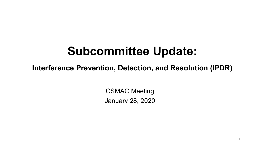#### **Subcommittee Update:**

**Interference Prevention, Detection, and Resolution (IPDR)**

CSMAC Meeting January 28, 2020

1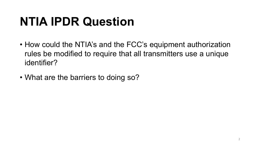# **NTIA IPDR Question**

- How could the NTIA's and the FCC's equipment authorization rules be modified to require that all transmitters use a unique identifier?
- What are the barriers to doing so?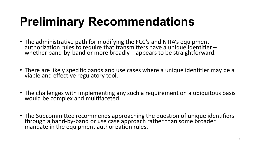# **Preliminary Recommendations**

- The administrative path for modifying the FCC's and NTIA's equipment authorization rules to require that transmitters have a unique identifier –<br>whether band-by-band or more broadly – appears to be straightforward.
- There are likely specific bands and use cases where a unique identifier may be a viable and effective regulatory tool.
- The challenges with implementing any such a requirement on a ubiquitous basis would be complex and multifaceted.
- The Subcommittee recommends approaching the question of unique identifiers through a band-by-band or use case approach rather than some broader<br>mandate in the equipment authorization rules.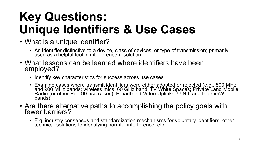# **Key Questions: Unique Identifiers & Use Cases**

- What is a unique identifier?
	- An identifier distinctive to a device, class of devices, or type of transmission; primarily used as a helpful tool in interference resolution
- What lessons can be learned where identifiers have been employed?
	- Identify key characteristics for success across use cases
	- Examine cases where transmit identifiers were either adopted or rejected (e.g., 800 MHz and 900 MHz bands; wireless mics; 60 GHz band; TV White Spaces; Private Land Mobile Radio (or other Part 90 use cases); Broadband Video Uplinks; 'U-NII; and the mmW<br>bands)
- Are there alternative paths to accomplishing the policy goals with fewer barriers?
	- E.g. industry consensus and standardization mechanisms for voluntary identifiers, other technical solutions to identifying harmful interference, etc.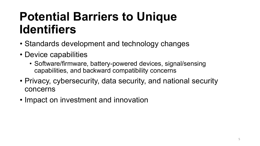#### **Potential Barriers to Unique Identifiers**

- Standards development and technology changes
- Device capabilities
	- Software/firmware, battery-powered devices, signal/sensing capabilities, and backward compatibility concerns
- Privacy, cybersecurity, data security, and national security concerns
- Impact on investment and innovation